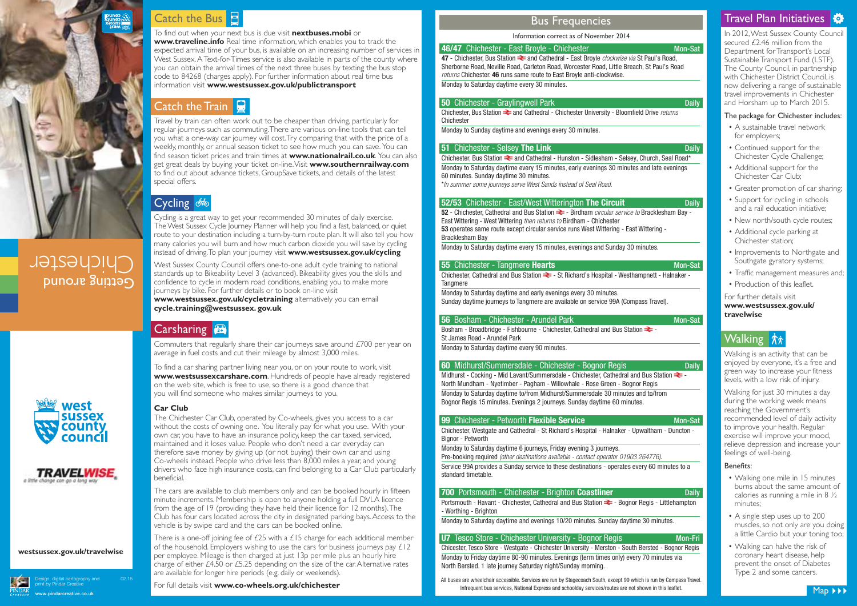In 2012, West Sussex County Council secured £2.46 million from the Department for Transport's Local Sustainable Transport Fund (LSTF). The County Council, in partnership with Chichester District Council, is now delivering a range of sustainable travel improvements in Chichester and Horsham up to March 2015.

### The package for Chichester includes:

- A sustainable travel network for employers;
- Continued support for the Chichester Cycle Challenge;
- Additional support for the Chichester Car Club;
- Greater promotion of car sharing;
- Support for cycling in schools and a rail education initiative;
- New north/south cycle routes:
- Additional cycle parking at Chichester station;
- Improvements to Northgate and Southgate gyratory systems;
- Traffic management measures and;
- Production of this leaflet.

For further details visit<br>www.westsussex.gov.uk/ travelwise

# Walking  $\dot{x}$

Travel by train can often work out to be cheaper than driving, particularly for regular journeys such as commuting. There are various on-line tools that can tell you what a one-way car journey will cost. Try comparing that with the price of a weekly, monthly, or annual season ticket to see how much you can save. You can<br>find season ticket prices and train times at **www.nationalrail.co.uk**. You can also get great deals by buying your ticket on-line. Visit **www.southernrailway.com** get great deals by buying your ticket on-line. Visit **www.southernrailway.com** to find out about advance tickets, GroupSave tickets, and details of the latest special offers.

## Cycling **66**

Walking is an activity that can be enjoyed by everyone, it's a free and green way to increase your fitness levels, with a low risk of injury.

Walking for just 30 minutes a day during the working week means reaching the Government's recommended level of daily activity to improve your health. Regular exercise will improve your mood, relieve depression and increase your feelings of well-being.

#### Benefits:

There is a one-off joining fee of  $E25$  with a  $E15$  charge for each additional member of the household. Employers wishing to use the cars for business journeys pay  $\mathcal{L}12$ per employee. Mileage is then charged at just 13p per mile plus an hourly hire charge of either £4.50 or £5.25 depending on the size of the car. Alternative rates are available for longer hire periods (e.g. daily or weekends).

- Walking one mile in 15 minutes burns about the same amount of calories as running a mile in 8 ½ minutes;
- A single step uses up to 200 muscles, so not only are you doing a little Cardio but your toning too;
- Walking can halve the risk of coronary heart disease, help prevent the onset of Diabetes Type 2 and some cancers.

Commuters that regularly share their car journeys save around £700 per year on average in fuel costs and cut their mileage by almost 3,000 miles.

**www.westsussex.gov.uk/cycletraining** alternatively you can email **cycle.training@westsussex.gov.uk cycle.training@westsussex. gov.uk**

#### **Carsharing B**



# Getting around Chichester





To find a car sharing partner living near you, or on your route to work, visit **www.westsussexcarshare.com**. Hundreds of people have already registered on the web site, which is free to use, so there is a good chance that you will find someone who makes similar journeys to you.

**47** - Chichester, Bus Station  $\approx$  and Cathedral - East Broyle *clockwise via* St Paul's Road, Sherborne Road, Neville Road, Carleton Road, Worcester Road, Little Breach, St Paul's Road returns Chichester. **46** runs same route to East Broyle anti-clockwise. Monday to Saturday daytime every 30 minutes.

#### **50** Chichester - Gravlingwell Park Daily **Daily**

**Car Club** The Chichester Car Club, operated by Co-wheels, gives you access to a car without the costs of owning one. You literally pay for what you use. With your own car, you have to have an insurance policy, keep the car taxed, serviced, maintained and it loses value. People who don't need a car everyday can therefore save money by giving up (or not buying) their own car and using Co-wheels instead. People who drive less than 8,000 miles a year, and young drivers who face high insurance costs, can find belonging to a Car Club particularly beneficial.

Chichester, Bus Station  $\geq$  and Cathedral - Chichester University - Bloomfield Drive returns Chichester

Chichester, Bus Station  $\approx$  and Cathedral - Hunston - Sidlesham - Selsey, Church, Seal Road\* Monday to Saturday daytime every 15 minutes, early evenings 30 minutes and late evenings 60 minutes. Sunday daytime 30 minutes. \*In summer some journeys serve West Sands instead of Seal Road.

#### **52/53** Chichester - East/West Witterington The Circuit Daily

**52** - Chichester, Cathedral and Bus Station  $\geq$  - Birdham circular service to Bracklesham Bay -East Wittering - West Wittering then returns to Birdham - Chichester **53** operates same route except circular service runs West Wittering - East Wittering - Bracklesham Bay

The cars are available to club members only and can be booked hourly in fifteen minute increments. Membership is open to anyone holding a full DVLA licence from the age of 19 (providing they have held their licence for 12 months). The Club has four cars located across the city in designated parking bays. Access to the vehicle is by swipe card and the cars can be booked online.

Bosham - Broadbridge - Fishbourne - Chichester, Cathedral and Bus Station  $\geq$  -St James Road - Arundel Park

Midhurst - Cocking - Mid Lavant/Summersdale - Chichester, Cathedral and Bus Station  $\geq$  -North Mundham - Nyetimber - Pagham - Willowhale - Rose Green - Bognor Regis Monday to Saturday daytime to/from Midhurst/Summersdale 30 minutes and to/from Bognor Regis 15 minutes. Evenings 2 journeys. Sunday daytime 60 minutes.

#### **99** Chichester - Petworth **Flexible Service** Mon-Sat Mon-Sat

#### Design, digital cartography and 02.15 print by Pindar Creative **www.pindarcreative.co.uk**

# Catch the Bus **E**

Portsmouth - Havant - Chichester, Cathedral and Bus Station  $\geq$  - Bognor Regis - Littlehampton - Worthing - Brighton

Cycling is a great way to get your recommended 30 minutes of daily exercise. The West Sussex Cycle Journey Planner will help you find a fast, balanced, or quiet route to your destination including a turn-by-turn route plan. It will also tell you how many calories you will burn and how much carbon dioxide you will save by cycling instead of driving. To plan your journey visit **www.westsussex.gov.uk/cycling**

For full details visit **www.co-wheels.org.uk/chichester** Map **Infrequent bus services**, National Express and schoolday services/routes are not shown in this leaflet. All buses are wheelchair accessible. Services are run by Stagecoach South, except 99 which is run by Compass Travel.



# Travel Plan Initiatives

West Sussex County Council offers one-to-one adult cycle training to national standards up to Bikeability Level 3 (advanced). Bikeability gives you the skills and confidence to cycle in modern road conditions, enabling you to make more journeys by bike. For further details or to book on-line visit

To find out when your next bus is due visit **nextbuses.mobi** or **www.traveline.info** Real time information, which enables you to track the expected arrival time of your bus, is available on an increasing number of services in West Sussex. A Text-for-Times service is also available in parts of the county where you can obtain the arrival times of the next three buses by texting the bus stop  $\sim$  code to 84268 (charges apply). For further information about real time bus information visit **www.westsussex.gov.uk/publictransport**

# Catch the Train

### Bus Frequencies

Monday to Sunday daytime and evenings every 30 minutes.

#### **51** Chichester - Selsey The Link Daily Daily Daily Daily

Monday to Saturday daytime every 15 minutes, evenings and Sunday 30 minutes.

#### **55** Chichester - Tangmere **Hearts** Mon-Sat

Chichester, Cathedral and Bus Station  $\geq$  - St Richard's Hospital - Westhampnett - Halnaker -**Tangmere** 

Monday to Saturday daytime and early evenings every 30 minutes. Sunday daytime journeys to Tangmere are available on service 99A (Compass Travel).

#### **56** Bosham - Chichester - Arundel Park Mon-Sat Mon-Sat

Monday to Saturday daytime every 90 minutes.

#### **60** Midhurst/Summersdale - Chichester - Bognor Regis Daily

Chichester, Westgate and Cathedral - St Richard's Hospital - Halnaker - Upwaltham - Duncton - Bignor - Petworth

Monday to Saturday daytime 6 journeys, Friday evening 3 journeys.

Pre-booking required (other destinations available - contact operator 01903 264776).

Service 99A provides a Sunday service to these destinations - operates every 60 minutes to a standard timetable.

#### **700** Portsmouth - Chichester - Brighton **Coastliner** Daily

Monday to Saturday daytime and evenings 10/20 minutes. Sunday daytime 30 minutes.

#### **U7** Tesco Store - Chichester University - Bognor Regis Mon-Fri

Chicester, Tesco Store - Westgate - Chichester University - Merston - South Bersted - Bognor Regis Monday to Friday daytime 80-90 minutes. Evenings (term times only) every 70 minutes via North Bersted. 1 late journey Saturday night/Sunday morning.

## **westsussex.gov.uk/travelwise**

Information correct as of November 2014

#### **46/47** Chichester - East Broyle - Chichester Mon-Sat